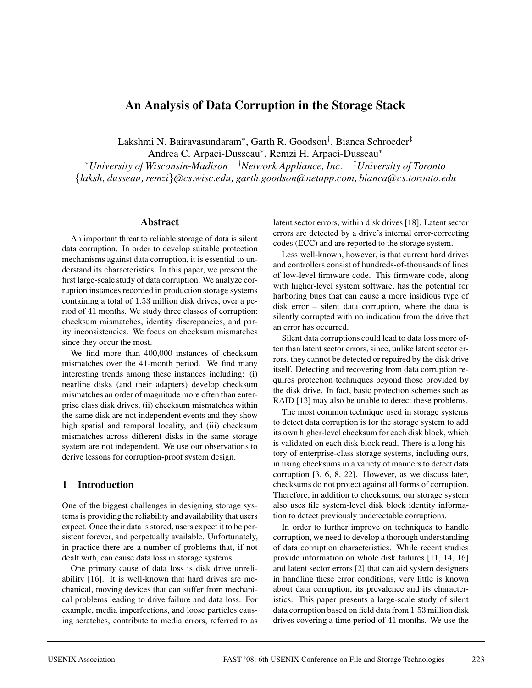# **An Analysis of Data Corruption in the Storage Stack**

Lakshmi N. Bairavasundaram<sup>∗</sup>, Garth R. Goodson† , Bianca Schroeder‡

Andrea C. Arpaci-Dusseau<sup>∗</sup>, Remzi H. Arpaci-Dusseau<sup>∗</sup>

<sup>∗</sup>*University of Wisconsin-Madison* † *Network Appliance, Inc.* ‡ *University of Toronto* {*laksh, dusseau, remzi*}*@cs.wisc.edu, garth.goodson@netapp.com, bianca@cs.toronto.edu*

#### **Abstract**

An important threat to reliable storage of data is silent data corruption. In order to develop suitable protection mechanisms against data corruption, it is essential to understand its characteristics. In this paper, we present the first large-scale study of data corruption. We analyze corruption instances recorded in production storage systems containing a total of 1.53 million disk drives, over a period of 41 months. We study three classes of corruption: checksum mismatches, identity discrepancies, and parity inconsistencies. We focus on checksum mismatches since they occur the most.

We find more than 400,000 instances of checksum mismatches over the 41-month period. We find many interesting trends among these instances including: (i) nearline disks (and their adapters) develop checksum mismatches an order of magnitude more often than enterprise class disk drives, (ii) checksum mismatches within the same disk are not independent events and they show high spatial and temporal locality, and (iii) checksum mismatches across different disks in the same storage system are not independent. We use our observations to derive lessons for corruption-proof system design.

### **1 Introduction**

One of the biggest challenges in designing storage systems is providing the reliability and availability that users expect. Once their data is stored, users expect it to be persistent forever, and perpetually available. Unfortunately, in practice there are a number of problems that, if not dealt with, can cause data loss in storage systems.

One primary cause of data loss is disk drive unreliability [16]. It is well-known that hard drives are mechanical, moving devices that can suffer from mechanical problems leading to drive failure and data loss. For example, media imperfections, and loose particles causing scratches, contribute to media errors, referred to as latent sector errors, within disk drives [18]. Latent sector errors are detected by a drive's internal error-correcting codes (ECC) and are reported to the storage system.

Less well-known, however, is that current hard drives and controllers consist of hundreds-of-thousands of lines of low-level firmware code. This firmware code, along with higher-level system software, has the potential for harboring bugs that can cause a more insidious type of disk error – silent data corruption, where the data is silently corrupted with no indication from the drive that an error has occurred.

Silent data corruptions could lead to data loss more often than latent sector errors, since, unlike latent sector errors, they cannot be detected or repaired by the disk drive itself. Detecting and recovering from data corruption requires protection techniques beyond those provided by the disk drive. In fact, basic protection schemes such as RAID [13] may also be unable to detect these problems.

The most common technique used in storage systems to detect data corruption is for the storage system to add its own higher-level checksum for each disk block, which is validated on each disk block read. There is a long history of enterprise-class storage systems, including ours, in using checksums in a variety of manners to detect data corruption [3, 6, 8, 22]. However, as we discuss later, checksums do not protect against all forms of corruption. Therefore, in addition to checksums, our storage system also uses file system-level disk block identity information to detect previously undetectable corruptions.

In order to further improve on techniques to handle corruption, we need to develop a thorough understanding of data corruption characteristics. While recent studies provide information on whole disk failures [11, 14, 16] and latent sector errors [2] that can aid system designers in handling these error conditions, very little is known about data corruption, its prevalence and its characteristics. This paper presents a large-scale study of silent data corruption based on field data from 1.53 million disk drives covering a time period of 41 months. We use the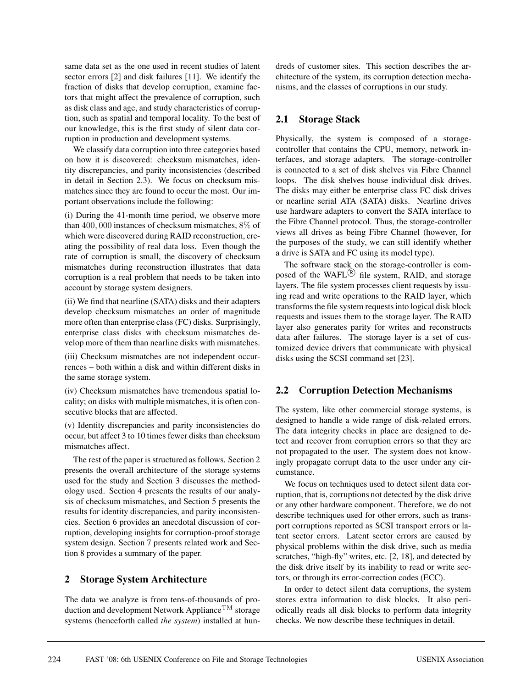same data set as the one used in recent studies of latent sector errors [2] and disk failures [11]. We identify the fraction of disks that develop corruption, examine factors that might affect the prevalence of corruption, such as disk class and age, and study characteristics of corruption, such as spatial and temporal locality. To the best of our knowledge, this is the first study of silent data corruption in production and development systems.

We classify data corruption into three categories based on how it is discovered: checksum mismatches, identity discrepancies, and parity inconsistencies (described in detail in Section 2.3). We focus on checksum mismatches since they are found to occur the most. Our important observations include the following:

(i) During the 41-month time period, we observe more than 400, 000 instances of checksum mismatches, 8% of which were discovered during RAID reconstruction, creating the possibility of real data loss. Even though the rate of corruption is small, the discovery of checksum mismatches during reconstruction illustrates that data corruption is a real problem that needs to be taken into account by storage system designers.

(ii) We find that nearline (SATA) disks and their adapters develop checksum mismatches an order of magnitude more often than enterprise class (FC) disks. Surprisingly, enterprise class disks with checksum mismatches develop more of them than nearline disks with mismatches.

(iii) Checksum mismatches are not independent occurrences – both within a disk and within different disks in the same storage system.

(iv) Checksum mismatches have tremendous spatial locality; on disks with multiple mismatches, it is often consecutive blocks that are affected.

(v) Identity discrepancies and parity inconsistencies do occur, but affect 3 to 10 times fewer disks than checksum mismatches affect.

The rest of the paper is structured as follows. Section 2 presents the overall architecture of the storage systems used for the study and Section 3 discusses the methodology used. Section 4 presents the results of our analysis of checksum mismatches, and Section 5 presents the results for identity discrepancies, and parity inconsistencies. Section 6 provides an anecdotal discussion of corruption, developing insights for corruption-proof storage system design. Section 7 presents related work and Section 8 provides a summary of the paper.

## **2 Storage System Architecture**

The data we analyze is from tens-of-thousands of production and development Network Appliance<sup>TM</sup> storage systems (henceforth called *the system*) installed at hun-

dreds of customer sites. This section describes the architecture of the system, its corruption detection mechanisms, and the classes of corruptions in our study.

# **2.1 Storage Stack**

Physically, the system is composed of a storagecontroller that contains the CPU, memory, network interfaces, and storage adapters. The storage-controller is connected to a set of disk shelves via Fibre Channel loops. The disk shelves house individual disk drives. The disks may either be enterprise class FC disk drives or nearline serial ATA (SATA) disks. Nearline drives use hardware adapters to convert the SATA interface to the Fibre Channel protocol. Thus, the storage-controller views all drives as being Fibre Channel (however, for the purposes of the study, we can still identify whether a drive is SATA and FC using its model type).

The software stack on the storage-controller is composed of the WAFL $\overline{R}$  file system, RAID, and storage layers. The file system processes client requests by issuing read and write operations to the RAID layer, which transforms the file system requests into logical disk block requests and issues them to the storage layer. The RAID layer also generates parity for writes and reconstructs data after failures. The storage layer is a set of customized device drivers that communicate with physical disks using the SCSI command set [23].

# **2.2 Corruption Detection Mechanisms**

The system, like other commercial storage systems, is designed to handle a wide range of disk-related errors. The data integrity checks in place are designed to detect and recover from corruption errors so that they are not propagated to the user. The system does not knowingly propagate corrupt data to the user under any circumstance.

We focus on techniques used to detect silent data corruption, that is, corruptions not detected by the disk drive or any other hardware component. Therefore, we do not describe techniques used for other errors, such as transport corruptions reported as SCSI transport errors or latent sector errors. Latent sector errors are caused by physical problems within the disk drive, such as media scratches, "high-fly" writes, etc. [2, 18], and detected by the disk drive itself by its inability to read or write sectors, or through its error-correction codes (ECC).

In order to detect silent data corruptions, the system stores extra information to disk blocks. It also periodically reads all disk blocks to perform data integrity checks. We now describe these techniques in detail.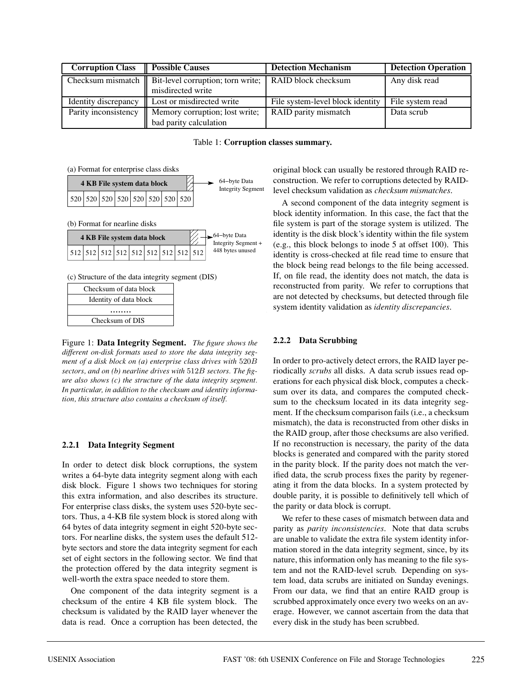| <b>Corruption Class</b> | <b>Possible Causes</b>                                                                          | <b>Detection Mechanism</b>       | <b>Detection Operation</b> |
|-------------------------|-------------------------------------------------------------------------------------------------|----------------------------------|----------------------------|
|                         | Checksum mismatch $\parallel$ Bit-level corruption; torn write; $\parallel$ RAID block checksum |                                  | Any disk read              |
|                         | misdirected write                                                                               |                                  |                            |
| Identity discrepancy    | Lost or misdirected write                                                                       | File system-level block identity | File system read           |
| Parity inconsistency    | Memory corruption; lost write;                                                                  | RAID parity mismatch             | Data scrub                 |
|                         | bad parity calculation                                                                          |                                  |                            |

Table 1: **Corruption classes summary.**

(a) Format for enterprise class disks



(b) Format for nearline disks

| 4 KB File system data block |  |  |  |  | $\leftarrow$ 64-byte Data<br>Integrity Segment + |  |  |  |                  |
|-----------------------------|--|--|--|--|--------------------------------------------------|--|--|--|------------------|
|                             |  |  |  |  |                                                  |  |  |  | 448 bytes unused |

(c) Structure of the data integrity segment (DIS)

| Checksum of data block |  |  |  |  |
|------------------------|--|--|--|--|
| Identity of data block |  |  |  |  |
|                        |  |  |  |  |
| Checksum of DIS        |  |  |  |  |

Figure 1: **Data Integrity Segment.** *The figure shows the different on-disk formats used to store the data integrity segment of a disk block on (a) enterprise class drives with* 520B *sectors, and on (b) nearline drives with* 512B *sectors. The figure also shows (c) the structure of the data integrity segment. In particular, in addition to the checksum and identity information, this structure also contains a checksum of itself.*

#### **2.2.1 Data Integrity Segment**

In order to detect disk block corruptions, the system writes a 64-byte data integrity segment along with each disk block. Figure 1 shows two techniques for storing this extra information, and also describes its structure. For enterprise class disks, the system uses 520-byte sectors. Thus, a 4-KB file system block is stored along with 64 bytes of data integrity segment in eight 520-byte sectors. For nearline disks, the system uses the default 512 byte sectors and store the data integrity segment for each set of eight sectors in the following sector. We find that the protection offered by the data integrity segment is well-worth the extra space needed to store them.

One component of the data integrity segment is a checksum of the entire 4 KB file system block. The checksum is validated by the RAID layer whenever the data is read. Once a corruption has been detected, the original block can usually be restored through RAID reconstruction. We refer to corruptions detected by RAIDlevel checksum validation as *checksum mismatches*.

A second component of the data integrity segment is block identity information. In this case, the fact that the file system is part of the storage system is utilized. The identity is the disk block's identity within the file system (e.g., this block belongs to inode 5 at offset 100). This identity is cross-checked at file read time to ensure that the block being read belongs to the file being accessed. If, on file read, the identity does not match, the data is reconstructed from parity. We refer to corruptions that are not detected by checksums, but detected through file system identity validation as *identity discrepancies*.

#### **2.2.2 Data Scrubbing**

In order to pro-actively detect errors, the RAID layer periodically *scrubs* all disks. A data scrub issues read operations for each physical disk block, computes a checksum over its data, and compares the computed checksum to the checksum located in its data integrity segment. If the checksum comparison fails (i.e., a checksum mismatch), the data is reconstructed from other disks in the RAID group, after those checksums are also verified. If no reconstruction is necessary, the parity of the data blocks is generated and compared with the parity stored in the parity block. If the parity does not match the verified data, the scrub process fixes the parity by regenerating it from the data blocks. In a system protected by double parity, it is possible to definitively tell which of the parity or data block is corrupt.

We refer to these cases of mismatch between data and parity as *parity inconsistencies*. Note that data scrubs are unable to validate the extra file system identity information stored in the data integrity segment, since, by its nature, this information only has meaning to the file system and not the RAID-level scrub. Depending on system load, data scrubs are initiated on Sunday evenings. From our data, we find that an entire RAID group is scrubbed approximately once every two weeks on an average. However, we cannot ascertain from the data that every disk in the study has been scrubbed.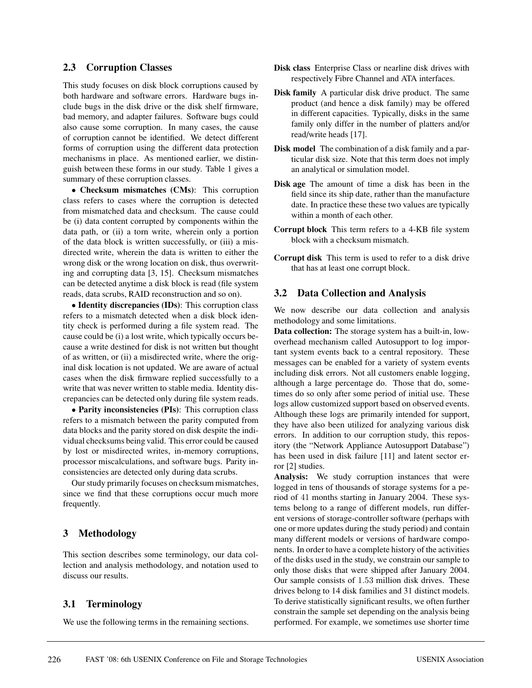### **2.3 Corruption Classes**

This study focuses on disk block corruptions caused by both hardware and software errors. Hardware bugs include bugs in the disk drive or the disk shelf firmware, bad memory, and adapter failures. Software bugs could also cause some corruption. In many cases, the cause of corruption cannot be identified. We detect different forms of corruption using the different data protection mechanisms in place. As mentioned earlier, we distinguish between these forms in our study. Table 1 gives a summary of these corruption classes.

• **Checksum mismatches (CMs)**: This corruption class refers to cases where the corruption is detected from mismatched data and checksum. The cause could be (i) data content corrupted by components within the data path, or (ii) a torn write, wherein only a portion of the data block is written successfully, or (iii) a misdirected write, wherein the data is written to either the wrong disk or the wrong location on disk, thus overwriting and corrupting data [3, 15]. Checksum mismatches can be detected anytime a disk block is read (file system reads, data scrubs, RAID reconstruction and so on).

• **Identity discrepancies (IDs)**: This corruption class refers to a mismatch detected when a disk block identity check is performed during a file system read. The cause could be (i) a lost write, which typically occurs because a write destined for disk is not written but thought of as written, or (ii) a misdirected write, where the original disk location is not updated. We are aware of actual cases when the disk firmware replied successfully to a write that was never written to stable media. Identity discrepancies can be detected only during file system reads.

• **Parity inconsistencies (PIs)**: This corruption class refers to a mismatch between the parity computed from data blocks and the parity stored on disk despite the individual checksums being valid. This error could be caused by lost or misdirected writes, in-memory corruptions, processor miscalculations, and software bugs. Parity inconsistencies are detected only during data scrubs.

Our study primarily focuses on checksum mismatches, since we find that these corruptions occur much more frequently.

### **3 Methodology**

This section describes some terminology, our data collection and analysis methodology, and notation used to discuss our results.

### **3.1 Terminology**

We use the following terms in the remaining sections.

- **Disk class** Enterprise Class or nearline disk drives with respectively Fibre Channel and ATA interfaces.
- **Disk family** A particular disk drive product. The same product (and hence a disk family) may be offered in different capacities. Typically, disks in the same family only differ in the number of platters and/or read/write heads [17].
- **Disk model** The combination of a disk family and a particular disk size. Note that this term does not imply an analytical or simulation model.
- **Disk age** The amount of time a disk has been in the field since its ship date, rather than the manufacture date. In practice these these two values are typically within a month of each other.
- **Corrupt block** This term refers to a 4-KB file system block with a checksum mismatch.
- **Corrupt disk** This term is used to refer to a disk drive that has at least one corrupt block.

### **3.2 Data Collection and Analysis**

We now describe our data collection and analysis methodology and some limitations.

**Data collection:** The storage system has a built-in, lowoverhead mechanism called Autosupport to log important system events back to a central repository. These messages can be enabled for a variety of system events including disk errors. Not all customers enable logging, although a large percentage do. Those that do, sometimes do so only after some period of initial use. These logs allow customized support based on observed events. Although these logs are primarily intended for support, they have also been utilized for analyzing various disk errors. In addition to our corruption study, this repository (the "Network Appliance Autosupport Database") has been used in disk failure [11] and latent sector error [2] studies.

**Analysis:** We study corruption instances that were logged in tens of thousands of storage systems for a period of 41 months starting in January 2004. These systems belong to a range of different models, run different versions of storage-controller software (perhaps with one or more updates during the study period) and contain many different models or versions of hardware components. In order to have a complete history of the activities of the disks used in the study, we constrain our sample to only those disks that were shipped after January 2004. Our sample consists of 1.53 million disk drives. These drives belong to 14 disk families and 31 distinct models. To derive statistically significant results, we often further constrain the sample set depending on the analysis being performed. For example, we sometimes use shorter time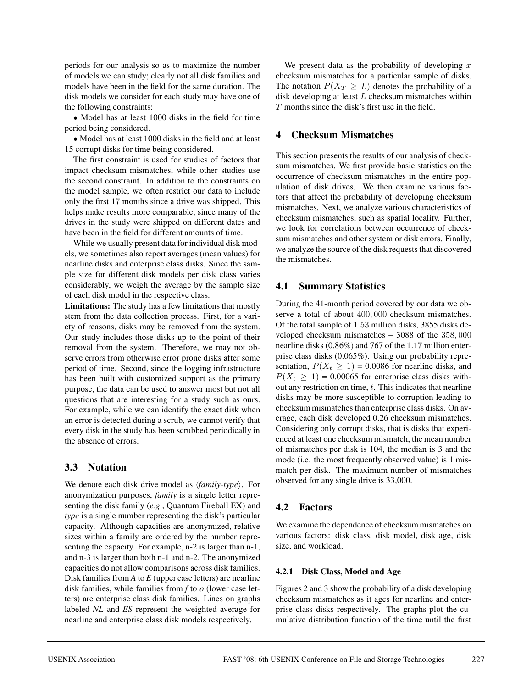periods for our analysis so as to maximize the number of models we can study; clearly not all disk families and models have been in the field for the same duration. The disk models we consider for each study may have one of the following constraints:

• Model has at least 1000 disks in the field for time period being considered.

• Model has at least 1000 disks in the field and at least 15 corrupt disks for time being considered.

The first constraint is used for studies of factors that impact checksum mismatches, while other studies use the second constraint. In addition to the constraints on the model sample, we often restrict our data to include only the first 17 months since a drive was shipped. This helps make results more comparable, since many of the drives in the study were shipped on different dates and have been in the field for different amounts of time.

While we usually present data for individual disk models, we sometimes also report averages (mean values) for nearline disks and enterprise class disks. Since the sample size for different disk models per disk class varies considerably, we weigh the average by the sample size of each disk model in the respective class.

**Limitations:** The study has a few limitations that mostly stem from the data collection process. First, for a variety of reasons, disks may be removed from the system. Our study includes those disks up to the point of their removal from the system. Therefore, we may not observe errors from otherwise error prone disks after some period of time. Second, since the logging infrastructure has been built with customized support as the primary purpose, the data can be used to answer most but not all questions that are interesting for a study such as ours. For example, while we can identify the exact disk when an error is detected during a scrub, we cannot verify that every disk in the study has been scrubbed periodically in the absence of errors.

# **3.3 Notation**

We denote each disk drive model as  $\langle \text{family-type} \rangle$ . For anonymization purposes, *family* is a single letter representing the disk family (*e.g.*, Quantum Fireball EX) and *type* is a single number representing the disk's particular capacity. Although capacities are anonymized, relative sizes within a family are ordered by the number representing the capacity. For example, n-2 is larger than n-1, and n-3 is larger than both n-1 and n-2. The anonymized capacities do not allow comparisons across disk families. Disk families from *A* to *E* (upper case letters) are nearline disk families, while families from *f* to *o* (lower case letters) are enterprise class disk families. Lines on graphs labeled *NL* and *ES* represent the weighted average for nearline and enterprise class disk models respectively.

We present data as the probability of developing  $x$ checksum mismatches for a particular sample of disks. The notation  $P(X_T \geq L)$  denotes the probability of a disk developing at least  $L$  checksum mismatches within T months since the disk's first use in the field.

## **4 Checksum Mismatches**

This section presents the results of our analysis of checksum mismatches. We first provide basic statistics on the occurrence of checksum mismatches in the entire population of disk drives. We then examine various factors that affect the probability of developing checksum mismatches. Next, we analyze various characteristics of checksum mismatches, such as spatial locality. Further, we look for correlations between occurrence of checksum mismatches and other system or disk errors. Finally, we analyze the source of the disk requests that discovered the mismatches.

## **4.1 Summary Statistics**

During the 41-month period covered by our data we observe a total of about 400, 000 checksum mismatches. Of the total sample of 1.53 million disks, 3855 disks developed checksum mismatches – 3088 of the 358, 000 nearline disks (0.86%) and 767 of the 1.17 million enterprise class disks (0.065%). Using our probability representation,  $P(X_t \ge 1) = 0.0086$  for nearline disks, and  $P(X_t \ge 1) = 0.00065$  for enterprise class disks without any restriction on time, t. This indicates that nearline disks may be more susceptible to corruption leading to checksum mismatches than enterprise class disks. On average, each disk developed 0.26 checksum mismatches. Considering only corrupt disks, that is disks that experienced at least one checksum mismatch, the mean number of mismatches per disk is 104, the median is 3 and the mode (i.e. the most frequently observed value) is 1 mismatch per disk. The maximum number of mismatches observed for any single drive is 33,000.

# **4.2 Factors**

We examine the dependence of checksum mismatches on various factors: disk class, disk model, disk age, disk size, and workload.

### **4.2.1 Disk Class, Model and Age**

Figures 2 and 3 show the probability of a disk developing checksum mismatches as it ages for nearline and enterprise class disks respectively. The graphs plot the cumulative distribution function of the time until the first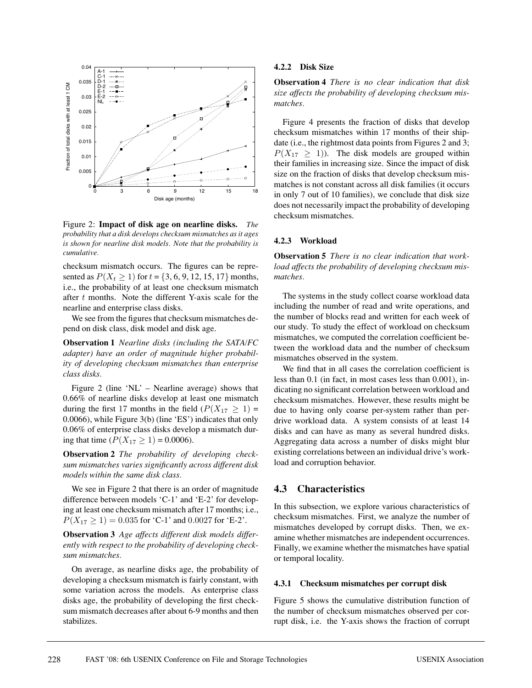

Figure 2: **Impact of disk age on nearline disks.** *The probability that a disk develops checksum mismatches as it ages is shown for nearline disk models. Note that the probability is cumulative.*

checksum mismatch occurs. The figures can be represented as  $P(X_t \ge 1)$  for  $t = \{3, 6, 9, 12, 15, 17\}$  months, i.e., the probability of at least one checksum mismatch after t months. Note the different Y-axis scale for the nearline and enterprise class disks.

We see from the figures that checksum mismatches depend on disk class, disk model and disk age.

**Observation 1** *Nearline disks (including the SATA/FC adapter) have an order of magnitude higher probability of developing checksum mismatches than enterprise class disks.*

Figure 2 (line 'NL' – Nearline average) shows that 0.66% of nearline disks develop at least one mismatch during the first 17 months in the field  $(P(X_{17} \geq 1)$  = 0.0066), while Figure 3(b) (line 'ES') indicates that only 0.06% of enterprise class disks develop a mismatch during that time  $(P(X_{17} \ge 1) = 0.0006)$ .

**Observation 2** *The probability of developing checksum mismatches varies significantly across different disk models within the same disk class.*

We see in Figure 2 that there is an order of magnitude difference between models 'C-1' and 'E-2' for developing at least one checksum mismatch after 17 months; i.e.,  $P(X_{17} \geq 1) = 0.035$  for 'C-1' and 0.0027 for 'E-2'.

**Observation 3** *Age affects different disk models differently with respect to the probability of developing checksum mismatches.*

On average, as nearline disks age, the probability of developing a checksum mismatch is fairly constant, with some variation across the models. As enterprise class disks age, the probability of developing the first checksum mismatch decreases after about 6-9 months and then stabilizes.

#### **4.2.2 Disk Size**

**Observation 4** *There is no clear indication that disk size affects the probability of developing checksum mismatches.*

Figure 4 presents the fraction of disks that develop checksum mismatches within 17 months of their shipdate (i.e., the rightmost data points from Figures 2 and 3;  $P(X_{17} \geq 1)$ ). The disk models are grouped within their families in increasing size. Since the impact of disk size on the fraction of disks that develop checksum mismatches is not constant across all disk families (it occurs in only 7 out of 10 families), we conclude that disk size does not necessarily impact the probability of developing checksum mismatches.

#### **4.2.3 Workload**

**Observation 5** *There is no clear indication that workload affects the probability of developing checksum mismatches.*

The systems in the study collect coarse workload data including the number of read and write operations, and the number of blocks read and written for each week of our study. To study the effect of workload on checksum mismatches, we computed the correlation coefficient between the workload data and the number of checksum mismatches observed in the system.

We find that in all cases the correlation coefficient is less than 0.1 (in fact, in most cases less than 0.001), indicating no significant correlation between workload and checksum mismatches. However, these results might be due to having only coarse per-system rather than perdrive workload data. A system consists of at least 14 disks and can have as many as several hundred disks. Aggregating data across a number of disks might blur existing correlations between an individual drive's workload and corruption behavior.

## **4.3 Characteristics**

In this subsection, we explore various characteristics of checksum mismatches. First, we analyze the number of mismatches developed by corrupt disks. Then, we examine whether mismatches are independent occurrences. Finally, we examine whether the mismatches have spatial or temporal locality.

#### **4.3.1 Checksum mismatches per corrupt disk**

Figure 5 shows the cumulative distribution function of the number of checksum mismatches observed per corrupt disk, i.e. the Y-axis shows the fraction of corrupt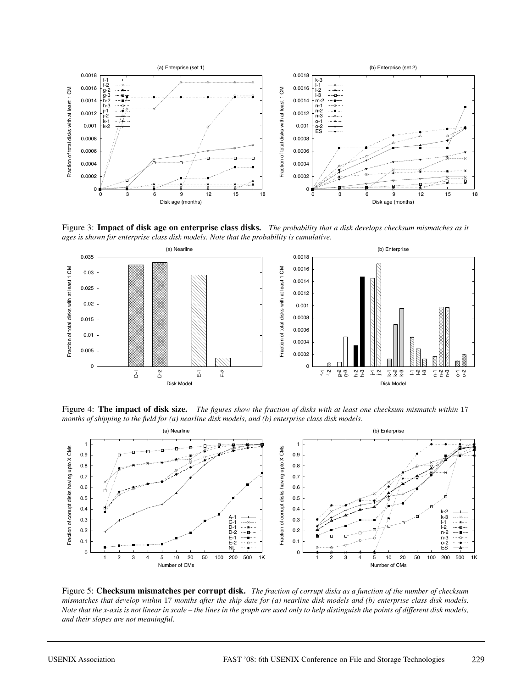

Figure 3: **Impact of disk age on enterprise class disks.** *The probability that a disk develops checksum mismatches as it ages is shown for enterprise class disk models. Note that the probability is cumulative.*



Figure 4: **The impact of disk size.** *The figures show the fraction of disks with at least one checksum mismatch within* 17 *months of shipping to the field for (a) nearline disk models, and (b) enterprise class disk models.*



Figure 5: **Checksum mismatches per corrupt disk.** *The fraction of corrupt disks as a function of the number of checksum mismatches that develop within* 17 *months after the ship date for (a) nearline disk models and (b) enterprise class disk models. Note that the x-axis is not linear in scale – the lines in the graph are used only to help distinguish the points of different disk models, and their slopes are not meaningful.*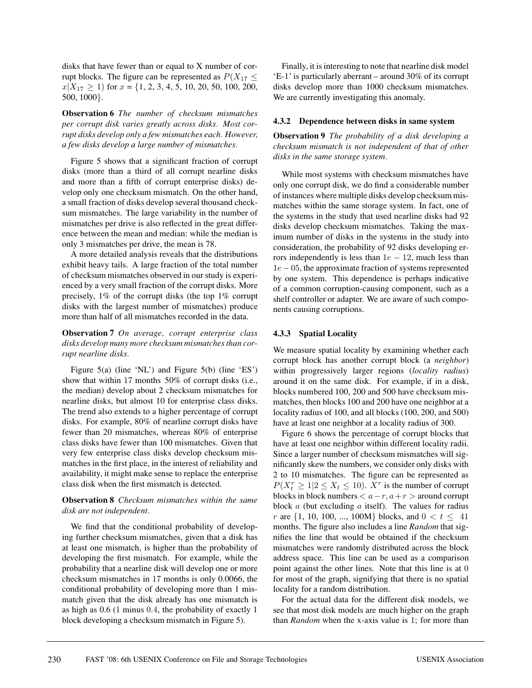disks that have fewer than or equal to X number of corrupt blocks. The figure can be represented as  $P(X_{17} \leq$  $x|X_{17} \ge 1$  for  $x = \{1, 2, 3, 4, 5, 10, 20, 50, 100, 200,$ 500, 1000}.

**Observation 6** *The number of checksum mismatches per corrupt disk varies greatly across disks. Most corrupt disks develop only a few mismatches each. However, a few disks develop a large number of mismatches.*

Figure 5 shows that a significant fraction of corrupt disks (more than a third of all corrupt nearline disks and more than a fifth of corrupt enterprise disks) develop only one checksum mismatch. On the other hand, a small fraction of disks develop several thousand checksum mismatches. The large variability in the number of mismatches per drive is also reflected in the great difference between the mean and median: while the median is only 3 mismatches per drive, the mean is 78.

A more detailed analysis reveals that the distributions exhibit heavy tails. A large fraction of the total number of checksum mismatches observed in our study is experienced by a very small fraction of the corrupt disks. More precisely, 1% of the corrupt disks (the top 1% corrupt disks with the largest number of mismatches) produce more than half of all mismatches recorded in the data.

**Observation 7** *On average, corrupt enterprise class disks develop many more checksum mismatches than corrupt nearline disks.*

Figure 5(a) (line 'NL') and Figure 5(b) (line 'ES') show that within 17 months 50% of corrupt disks (i.e., the median) develop about 2 checksum mismatches for nearline disks, but almost 10 for enterprise class disks. The trend also extends to a higher percentage of corrupt disks. For example, 80% of nearline corrupt disks have fewer than 20 mismatches, whereas 80% of enterprise class disks have fewer than 100 mismatches. Given that very few enterprise class disks develop checksum mismatches in the first place, in the interest of reliability and availability, it might make sense to replace the enterprise class disk when the first mismatch is detected.

### **Observation 8** *Checksum mismatches within the same disk are not independent.*

We find that the conditional probability of developing further checksum mismatches, given that a disk has at least one mismatch, is higher than the probability of developing the first mismatch. For example, while the probability that a nearline disk will develop one or more checksum mismatches in 17 months is only 0.0066, the conditional probability of developing more than 1 mismatch given that the disk already has one mismatch is as high as 0.6 (1 minus 0.4, the probability of exactly 1 block developing a checksum mismatch in Figure 5).

Finally, it is interesting to note that nearline disk model 'E-1' is particularly aberrant – around 30% of its corrupt disks develop more than 1000 checksum mismatches. We are currently investigating this anomaly.

#### **4.3.2 Dependence between disks in same system**

**Observation 9** *The probability of a disk developing a checksum mismatch is not independent of that of other disks in the same storage system.*

While most systems with checksum mismatches have only one corrupt disk, we do find a considerable number of instances where multiple disks develop checksum mismatches within the same storage system. In fact, one of the systems in the study that used nearline disks had 92 disks develop checksum mismatches. Taking the maximum number of disks in the systems in the study into consideration, the probability of 92 disks developing errors independently is less than  $1e - 12$ , much less than 1e−05, the approximate fraction of systems represented by one system. This dependence is perhaps indicative of a common corruption-causing component, such as a shelf controller or adapter. We are aware of such components causing corruptions.

#### **4.3.3 Spatial Locality**

We measure spatial locality by examining whether each corrupt block has another corrupt block (a *neighbor*) within progressively larger regions (*locality radius*) around it on the same disk. For example, if in a disk, blocks numbered 100, 200 and 500 have checksum mismatches, then blocks 100 and 200 have one neighbor at a locality radius of 100, and all blocks (100, 200, and 500) have at least one neighbor at a locality radius of 300.

Figure 6 shows the percentage of corrupt blocks that have at least one neighbor within different locality radii. Since a larger number of checksum mismatches will significantly skew the numbers, we consider only disks with 2 to 10 mismatches. The figure can be represented as  $P(X_t^r \geq 1 | 2 \leq X_t \leq 10)$ .  $X^r$  is the number of corrupt blocks in block numbers  $\lt a-r$ ,  $a+r$  > around corrupt block  $a$  (but excluding  $a$  itself). The values for radius r are  $\{1, 10, 100, ..., 100M\}$  blocks, and  $0 < t \leq 41$ months. The figure also includes a line *Random* that signifies the line that would be obtained if the checksum mismatches were randomly distributed across the block address space. This line can be used as a comparison point against the other lines. Note that this line is at 0 for most of the graph, signifying that there is no spatial locality for a random distribution.

For the actual data for the different disk models, we see that most disk models are much higher on the graph than *Random* when the x-axis value is 1; for more than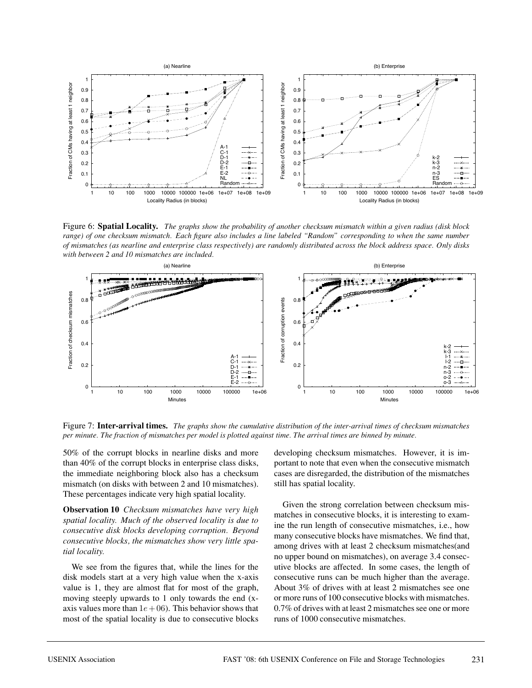

Figure 6: **Spatial Locality.** *The graphs show the probability of another checksum mismatch within a given radius (disk block range) of one checksum mismatch. Each figure also includes a line labeled "Random" corresponding to when the same number of mismatches (as nearline and enterprise class respectively) are randomly distributed across the block address space. Only disks with between 2 and 10 mismatches are included.*



Figure 7: **Inter-arrival times.** *The graphs show the cumulative distribution of the inter-arrival times of checksum mismatches per minute. The fraction of mismatches per model is plotted against time. The arrival times are binned by minute.*

50% of the corrupt blocks in nearline disks and more than 40% of the corrupt blocks in enterprise class disks, the immediate neighboring block also has a checksum mismatch (on disks with between 2 and 10 mismatches). These percentages indicate very high spatial locality.

**Observation 10** *Checksum mismatches have very high spatial locality. Much of the observed locality is due to consecutive disk blocks developing corruption. Beyond consecutive blocks, the mismatches show very little spatial locality.*

We see from the figures that, while the lines for the disk models start at a very high value when the x-axis value is 1, they are almost flat for most of the graph, moving steeply upwards to 1 only towards the end (xaxis values more than  $1e + 06$ ). This behavior shows that most of the spatial locality is due to consecutive blocks

developing checksum mismatches. However, it is important to note that even when the consecutive mismatch cases are disregarded, the distribution of the mismatches still has spatial locality.

Given the strong correlation between checksum mismatches in consecutive blocks, it is interesting to examine the run length of consecutive mismatches, i.e., how many consecutive blocks have mismatches. We find that, among drives with at least 2 checksum mismatches(and no upper bound on mismatches), on average 3.4 consecutive blocks are affected. In some cases, the length of consecutive runs can be much higher than the average. About 3% of drives with at least 2 mismatches see one or more runs of 100 consecutive blocks with mismatches. 0.7% of drives with at least 2 mismatches see one or more runs of 1000 consecutive mismatches.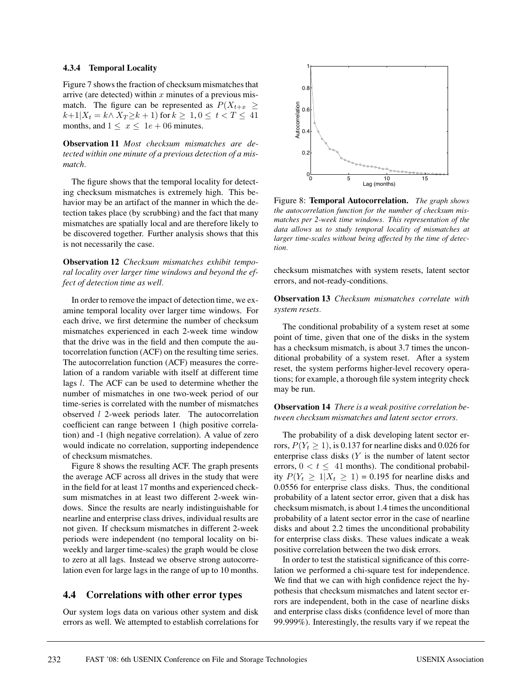#### **4.3.4 Temporal Locality**

Figure 7 shows the fraction of checksum mismatches that arrive (are detected) within  $x$  minutes of a previous mismatch. The figure can be represented as  $P(X_{t+x} \geq$  $k+1|X_t = k \wedge X_T \geq k+1$  for  $k \geq 1, 0 \leq t < T \leq 41$ months, and  $1 \leq x \leq 1e + 06$  minutes.

**Observation 11** *Most checksum mismatches are detected within one minute of a previous detection of a mismatch.*

The figure shows that the temporal locality for detecting checksum mismatches is extremely high. This behavior may be an artifact of the manner in which the detection takes place (by scrubbing) and the fact that many mismatches are spatially local and are therefore likely to be discovered together. Further analysis shows that this is not necessarily the case.

**Observation 12** *Checksum mismatches exhibit temporal locality over larger time windows and beyond the effect of detection time as well.*

In order to remove the impact of detection time, we examine temporal locality over larger time windows. For each drive, we first determine the number of checksum mismatches experienced in each 2-week time window that the drive was in the field and then compute the autocorrelation function (ACF) on the resulting time series. The autocorrelation function (ACF) measures the correlation of a random variable with itself at different time lags l. The ACF can be used to determine whether the number of mismatches in one two-week period of our time-series is correlated with the number of mismatches observed l 2-week periods later. The autocorrelation coefficient can range between 1 (high positive correlation) and -1 (high negative correlation). A value of zero would indicate no correlation, supporting independence of checksum mismatches.

Figure 8 shows the resulting ACF. The graph presents the average ACF across all drives in the study that were in the field for at least 17 months and experienced checksum mismatches in at least two different 2-week windows. Since the results are nearly indistinguishable for nearline and enterprise class drives, individual results are not given. If checksum mismatches in different 2-week periods were independent (no temporal locality on biweekly and larger time-scales) the graph would be close to zero at all lags. Instead we observe strong autocorrelation even for large lags in the range of up to 10 months.

### **4.4 Correlations with other error types**

Our system logs data on various other system and disk errors as well. We attempted to establish correlations for



Figure 8: **Temporal Autocorrelation.** *The graph shows the autocorrelation function for the number of checksum mismatches per 2-week time windows. This representation of the data allows us to study temporal locality of mismatches at larger time-scales without being affected by the time of detection.*

checksum mismatches with system resets, latent sector errors, and not-ready-conditions.

**Observation 13** *Checksum mismatches correlate with system resets.*

The conditional probability of a system reset at some point of time, given that one of the disks in the system has a checksum mismatch, is about 3.7 times the unconditional probability of a system reset. After a system reset, the system performs higher-level recovery operations; for example, a thorough file system integrity check may be run.

**Observation 14** *There is a weak positive correlation between checksum mismatches and latent sector errors.*

The probability of a disk developing latent sector errors,  $P(Y_t \ge 1)$ , is 0.137 for nearline disks and 0.026 for enterprise class disks  $(Y$  is the number of latent sector errors,  $0 < t \leq 41$  months). The conditional probability  $P(Y_t \geq 1 | X_t \geq 1) = 0.195$  for nearline disks and 0.0556 for enterprise class disks. Thus, the conditional probability of a latent sector error, given that a disk has checksum mismatch, is about 1.4 times the unconditional probability of a latent sector error in the case of nearline disks and about 2.2 times the unconditional probability for enterprise class disks. These values indicate a weak positive correlation between the two disk errors.

In order to test the statistical significance of this correlation we performed a chi-square test for independence. We find that we can with high confidence reject the hypothesis that checksum mismatches and latent sector errors are independent, both in the case of nearline disks and enterprise class disks (confidence level of more than 99.999%). Interestingly, the results vary if we repeat the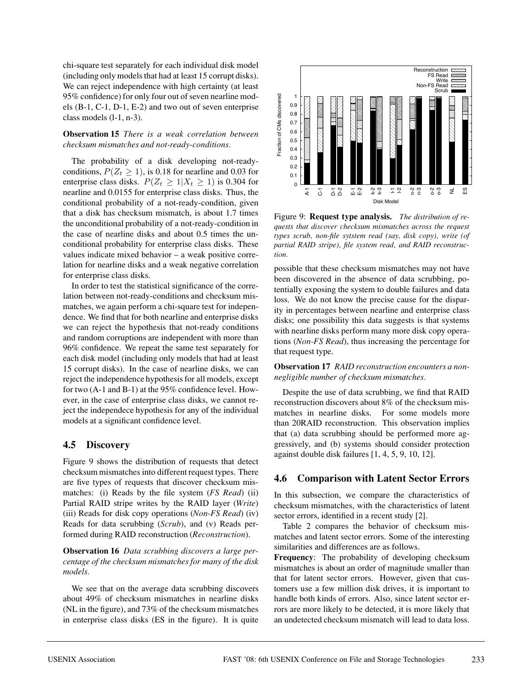chi-square test separately for each individual disk model (including only models that had at least 15 corrupt disks). We can reject independence with high certainty (at least 95% confidence) for only four out of seven nearline models (B-1, C-1, D-1, E-2) and two out of seven enterprise class models (l-1, n-3).

**Observation 15** *There is a weak correlation between checksum mismatches and not-ready-conditions.*

The probability of a disk developing not-readyconditions,  $P(Z_t \ge 1)$ , is 0.18 for nearline and 0.03 for enterprise class disks.  $P(Z_t \geq 1 | X_t \geq 1)$  is 0.304 for nearline and 0.0155 for enterprise class disks. Thus, the conditional probability of a not-ready-condition, given that a disk has checksum mismatch, is about 1.7 times the unconditional probability of a not-ready-condition in the case of nearline disks and about 0.5 times the unconditional probability for enterprise class disks. These values indicate mixed behavior – a weak positive correlation for nearline disks and a weak negative correlation for enterprise class disks.

In order to test the statistical significance of the correlation between not-ready-conditions and checksum mismatches, we again perform a chi-square test for independence. We find that for both nearline and enterprise disks we can reject the hypothesis that not-ready conditions and random corruptions are independent with more than 96% confidence. We repeat the same test separately for each disk model (including only models that had at least 15 corrupt disks). In the case of nearline disks, we can reject the independence hypothesis for all models, except for two (A-1 and B-1) at the 95% confidence level. However, in the case of enterprise class disks, we cannot reject the independece hypothesis for any of the individual models at a significant confidence level.

### **4.5 Discovery**

Figure 9 shows the distribution of requests that detect checksum mismatches into different request types. There are five types of requests that discover checksum mismatches: (i) Reads by the file system (*FS Read*) (ii) Partial RAID stripe writes by the RAID layer (*Write*) (iii) Reads for disk copy operations (*Non-FS Read*) (iv) Reads for data scrubbing (*Scrub*), and (v) Reads performed during RAID reconstruction (*Reconstruction*).

**Observation 16** *Data scrubbing discovers a large percentage of the checksum mismatches for many of the disk models.*

We see that on the average data scrubbing discovers about 49% of checksum mismatches in nearline disks (NL in the figure), and 73% of the checksum mismatches in enterprise class disks (ES in the figure). It is quite



Figure 9: **Request type analysis.** *The distribution of requests that discover checksum mismatches across the request types scrub, non-file sytstem read (say, disk copy), write (of partial RAID stripe), file system read, and RAID reconstruction.*

possible that these checksum mismatches may not have been discovered in the absence of data scrubbing, potentially exposing the system to double failures and data loss. We do not know the precise cause for the disparity in percentages between nearline and enterprise class disks; one possibility this data suggests is that systems with nearline disks perform many more disk copy operations (*Non-FS Read*), thus increasing the percentage for that request type.

**Observation 17** *RAID reconstruction encounters a nonnegligible number of checksum mismatches.*

Despite the use of data scrubbing, we find that RAID reconstruction discovers about 8% of the checksum mismatches in nearline disks. For some models more than 20RAID reconstruction. This observation implies that (a) data scrubbing should be performed more aggressively, and (b) systems should consider protection against double disk failures [1, 4, 5, 9, 10, 12].

### **4.6 Comparison with Latent Sector Errors**

In this subsection, we compare the characteristics of checksum mismatches, with the characteristics of latent sector errors, identified in a recent study [2].

Table 2 compares the behavior of checksum mismatches and latent sector errors. Some of the interesting similarities and differences are as follows.

**Frequency**: The probability of developing checksum mismatches is about an order of magnitude smaller than that for latent sector errors. However, given that customers use a few million disk drives, it is important to handle both kinds of errors. Also, since latent sector errors are more likely to be detected, it is more likely that an undetected checksum mismatch will lead to data loss.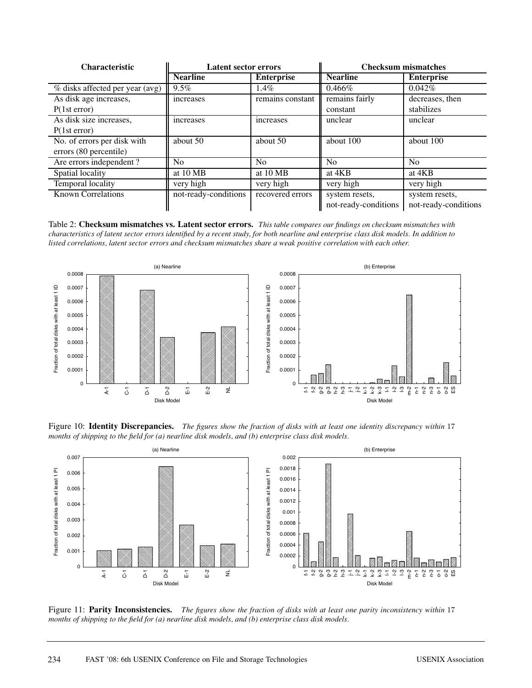| <b>Characteristic</b>           | <b>Latent sector errors</b> |                   | <b>Checksum mismatches</b> |                      |  |
|---------------------------------|-----------------------------|-------------------|----------------------------|----------------------|--|
|                                 | <b>Nearline</b>             | <b>Enterprise</b> | <b>Nearline</b>            | <b>Enterprise</b>    |  |
| % disks affected per year (avg) | $9.5\%$                     | $1.4\%$           | $0.466\%$                  | 0.042%               |  |
| As disk age increases,          | increases                   | remains constant  | remains fairly             | decreases, then      |  |
| P(1st error)                    |                             |                   | constant                   | stabilizes           |  |
| As disk size increases,         | increases                   | <i>ncreases</i>   | unclear                    | unclear              |  |
| P(1st error)                    |                             |                   |                            |                      |  |
| No. of errors per disk with     | about 50                    | about 50          | about 100                  | about 100            |  |
| errors (80 percentile)          |                             |                   |                            |                      |  |
| Are errors independent?         | N <sub>0</sub>              | N <sub>0</sub>    | N <sub>0</sub>             | N <sub>0</sub>       |  |
| Spatial locality                | at 10 MB                    | at 10 MB          | at 4KB                     | at 4KB               |  |
| Temporal locality               | very high                   | very high         | very high                  | very high            |  |
| <b>Known Correlations</b>       | not-ready-conditions        | recovered errors  | system resets,             | system resets,       |  |
|                                 |                             |                   | not-ready-conditions       | not-ready-conditions |  |

Table 2: **Checksum mismatches vs. Latent sector errors.** *This table compares our findings on checksum mismatches with characteristics of latent sector errors identified by a recent study, for both nearline and enterprise class disk models. In addition to listed correlations, latent sector errors and checksum mismatches share a weak positive correlation with each other.*



Figure 10: **Identity Discrepancies.** *The figures show the fraction of disks with at least one identity discrepancy within* 17 *months of shipping to the field for (a) nearline disk models, and (b) enterprise class disk models.*



Figure 11: **Parity Inconsistencies.** *The figures show the fraction of disks with at least one parity inconsistency within* 17 *months of shipping to the field for (a) nearline disk models, and (b) enterprise class disk models.*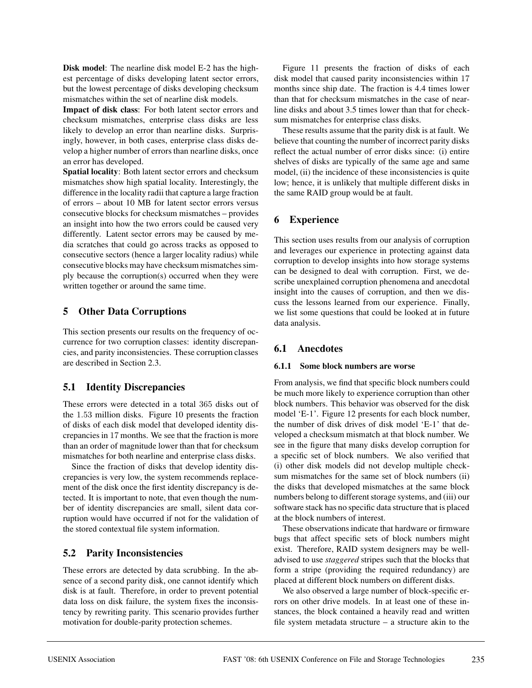**Disk model**: The nearline disk model E-2 has the highest percentage of disks developing latent sector errors, but the lowest percentage of disks developing checksum mismatches within the set of nearline disk models.

**Impact of disk class**: For both latent sector errors and checksum mismatches, enterprise class disks are less likely to develop an error than nearline disks. Surprisingly, however, in both cases, enterprise class disks develop a higher number of errors than nearline disks, once an error has developed.

**Spatial locality**: Both latent sector errors and checksum mismatches show high spatial locality. Interestingly, the difference in the locality radii that capture a large fraction of errors – about 10 MB for latent sector errors versus consecutive blocks for checksum mismatches – provides an insight into how the two errors could be caused very differently. Latent sector errors may be caused by media scratches that could go across tracks as opposed to consecutive sectors (hence a larger locality radius) while consecutive blocks may have checksum mismatches simply because the corruption(s) occurred when they were written together or around the same time.

# **5 Other Data Corruptions**

This section presents our results on the frequency of occurrence for two corruption classes: identity discrepancies, and parity inconsistencies. These corruption classes are described in Section 2.3.

# **5.1 Identity Discrepancies**

These errors were detected in a total 365 disks out of the 1.53 million disks. Figure 10 presents the fraction of disks of each disk model that developed identity discrepancies in 17 months. We see that the fraction is more than an order of magnitude lower than that for checksum mismatches for both nearline and enterprise class disks.

Since the fraction of disks that develop identity discrepancies is very low, the system recommends replacement of the disk once the first identity discrepancy is detected. It is important to note, that even though the number of identity discrepancies are small, silent data corruption would have occurred if not for the validation of the stored contextual file system information.

# **5.2 Parity Inconsistencies**

These errors are detected by data scrubbing. In the absence of a second parity disk, one cannot identify which disk is at fault. Therefore, in order to prevent potential data loss on disk failure, the system fixes the inconsistency by rewriting parity. This scenario provides further motivation for double-parity protection schemes.

Figure 11 presents the fraction of disks of each disk model that caused parity inconsistencies within 17 months since ship date. The fraction is 4.4 times lower than that for checksum mismatches in the case of nearline disks and about 3.5 times lower than that for checksum mismatches for enterprise class disks.

These results assume that the parity disk is at fault. We believe that counting the number of incorrect parity disks reflect the actual number of error disks since: (i) entire shelves of disks are typically of the same age and same model, (ii) the incidence of these inconsistencies is quite low; hence, it is unlikely that multiple different disks in the same RAID group would be at fault.

# **6 Experience**

This section uses results from our analysis of corruption and leverages our experience in protecting against data corruption to develop insights into how storage systems can be designed to deal with corruption. First, we describe unexplained corruption phenomena and anecdotal insight into the causes of corruption, and then we discuss the lessons learned from our experience. Finally, we list some questions that could be looked at in future data analysis.

# **6.1 Anecdotes**

### **6.1.1 Some block numbers are worse**

From analysis, we find that specific block numbers could be much more likely to experience corruption than other block numbers. This behavior was observed for the disk model 'E-1'. Figure 12 presents for each block number, the number of disk drives of disk model 'E-1' that developed a checksum mismatch at that block number. We see in the figure that many disks develop corruption for a specific set of block numbers. We also verified that (i) other disk models did not develop multiple checksum mismatches for the same set of block numbers (ii) the disks that developed mismatches at the same block numbers belong to different storage systems, and (iii) our software stack has no specific data structure that is placed at the block numbers of interest.

These observations indicate that hardware or firmware bugs that affect specific sets of block numbers might exist. Therefore, RAID system designers may be welladvised to use *staggered* stripes such that the blocks that form a stripe (providing the required redundancy) are placed at different block numbers on different disks.

We also observed a large number of block-specific errors on other drive models. In at least one of these instances, the block contained a heavily read and written file system metadata structure – a structure akin to the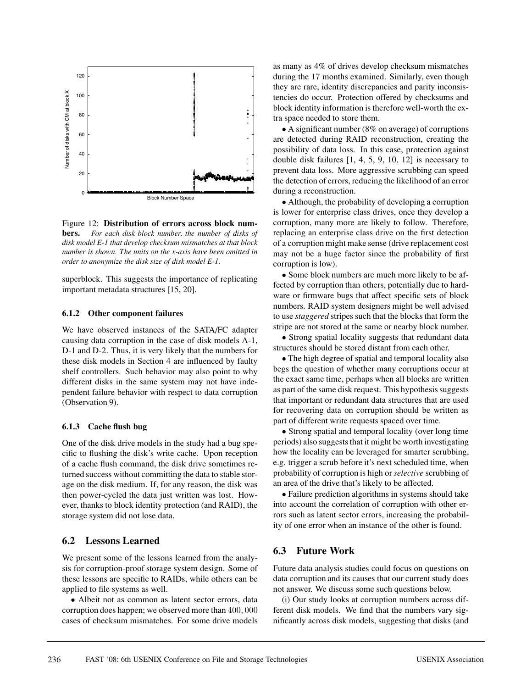

Figure 12: **Distribution of errors across block numbers.** *For each disk block number, the number of disks of disk model E-1 that develop checksum mismatches at that block number is shown. The units on the x-axis have been omitted in order to anonymize the disk size of disk model E-1.*

superblock. This suggests the importance of replicating important metadata structures [15, 20].

#### **6.1.2 Other component failures**

We have observed instances of the SATA/FC adapter causing data corruption in the case of disk models A-1, D-1 and D-2. Thus, it is very likely that the numbers for these disk models in Section 4 are influenced by faulty shelf controllers. Such behavior may also point to why different disks in the same system may not have independent failure behavior with respect to data corruption (Observation 9).

#### **6.1.3 Cache flush bug**

One of the disk drive models in the study had a bug specific to flushing the disk's write cache. Upon reception of a cache flush command, the disk drive sometimes returned success without committing the data to stable storage on the disk medium. If, for any reason, the disk was then power-cycled the data just written was lost. However, thanks to block identity protection (and RAID), the storage system did not lose data.

### **6.2 Lessons Learned**

We present some of the lessons learned from the analysis for corruption-proof storage system design. Some of these lessons are specific to RAIDs, while others can be applied to file systems as well.

• Albeit not as common as latent sector errors, data corruption does happen; we observed more than 400, 000 cases of checksum mismatches. For some drive models as many as 4% of drives develop checksum mismatches during the 17 months examined. Similarly, even though they are rare, identity discrepancies and parity inconsistencies do occur. Protection offered by checksums and block identity information is therefore well-worth the extra space needed to store them.

• A significant number (8% on average) of corruptions are detected during RAID reconstruction, creating the possibility of data loss. In this case, protection against double disk failures [1, 4, 5, 9, 10, 12] is necessary to prevent data loss. More aggressive scrubbing can speed the detection of errors, reducing the likelihood of an error during a reconstruction.

• Although, the probability of developing a corruption is lower for enterprise class drives, once they develop a corruption, many more are likely to follow. Therefore, replacing an enterprise class drive on the first detection of a corruption might make sense (drive replacement cost may not be a huge factor since the probability of first corruption is low).

• Some block numbers are much more likely to be affected by corruption than others, potentially due to hardware or firmware bugs that affect specific sets of block numbers. RAID system designers might be well advised to use *staggered* stripes such that the blocks that form the stripe are not stored at the same or nearby block number.

• Strong spatial locality suggests that redundant data structures should be stored distant from each other.

• The high degree of spatial and temporal locality also begs the question of whether many corruptions occur at the exact same time, perhaps when all blocks are written as part of the same disk request. This hypothesis suggests that important or redundant data structures that are used for recovering data on corruption should be written as part of different write requests spaced over time.

• Strong spatial and temporal locality (over long time periods) also suggests that it might be worth investigating how the locality can be leveraged for smarter scrubbing, e.g. trigger a scrub before it's next scheduled time, when probability of corruption is high or *selective* scrubbing of an area of the drive that's likely to be affected.

• Failure prediction algorithms in systems should take into account the correlation of corruption with other errors such as latent sector errors, increasing the probability of one error when an instance of the other is found.

## **6.3 Future Work**

Future data analysis studies could focus on questions on data corruption and its causes that our current study does not answer. We discuss some such questions below.

(i) Our study looks at corruption numbers across different disk models. We find that the numbers vary significantly across disk models, suggesting that disks (and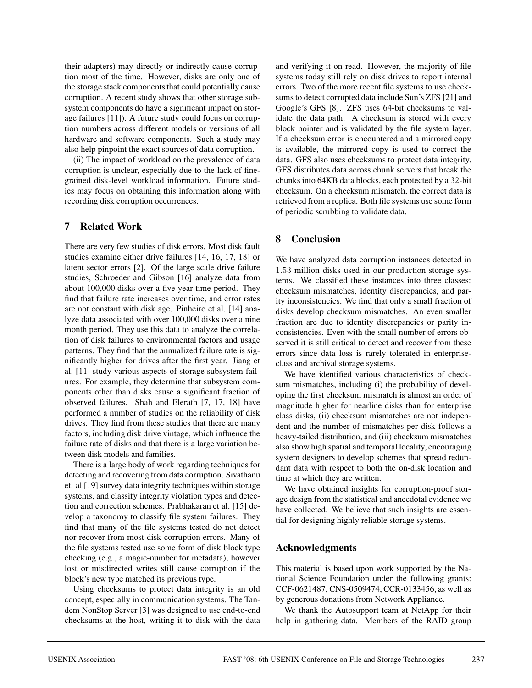their adapters) may directly or indirectly cause corruption most of the time. However, disks are only one of the storage stack components that could potentially cause corruption. A recent study shows that other storage subsystem components do have a significant impact on storage failures [11]). A future study could focus on corruption numbers across different models or versions of all hardware and software components. Such a study may also help pinpoint the exact sources of data corruption.

(ii) The impact of workload on the prevalence of data corruption is unclear, especially due to the lack of finegrained disk-level workload information. Future studies may focus on obtaining this information along with recording disk corruption occurrences.

## **7 Related Work**

There are very few studies of disk errors. Most disk fault studies examine either drive failures [14, 16, 17, 18] or latent sector errors [2]. Of the large scale drive failure studies, Schroeder and Gibson [16] analyze data from about 100,000 disks over a five year time period. They find that failure rate increases over time, and error rates are not constant with disk age. Pinheiro et al. [14] analyze data associated with over 100,000 disks over a nine month period. They use this data to analyze the correlation of disk failures to environmental factors and usage patterns. They find that the annualized failure rate is significantly higher for drives after the first year. Jiang et al. [11] study various aspects of storage subsystem failures. For example, they determine that subsystem components other than disks cause a significant fraction of observed failures. Shah and Elerath [7, 17, 18] have performed a number of studies on the reliability of disk drives. They find from these studies that there are many factors, including disk drive vintage, which influence the failure rate of disks and that there is a large variation between disk models and families.

There is a large body of work regarding techniques for detecting and recovering from data corruption. Sivathanu et. al [19] survey data integrity techniques within storage systems, and classify integrity violation types and detection and correction schemes. Prabhakaran et al. [15] develop a taxonomy to classify file system failures. They find that many of the file systems tested do not detect nor recover from most disk corruption errors. Many of the file systems tested use some form of disk block type checking (e.g., a magic-number for metadata), however lost or misdirected writes still cause corruption if the block's new type matched its previous type.

Using checksums to protect data integrity is an old concept, especially in communication systems. The Tandem NonStop Server [3] was designed to use end-to-end checksums at the host, writing it to disk with the data

and verifying it on read. However, the majority of file systems today still rely on disk drives to report internal errors. Two of the more recent file systems to use checksums to detect corrupted data include Sun's ZFS [21] and Google's GFS [8]. ZFS uses 64-bit checksums to validate the data path. A checksum is stored with every block pointer and is validated by the file system layer. If a checksum error is encountered and a mirrored copy is available, the mirrored copy is used to correct the data. GFS also uses checksums to protect data integrity. GFS distributes data across chunk servers that break the chunks into 64KB data blocks, each protected by a 32-bit checksum. On a checksum mismatch, the correct data is retrieved from a replica. Both file systems use some form of periodic scrubbing to validate data.

# **8 Conclusion**

We have analyzed data corruption instances detected in 1.53 million disks used in our production storage systems. We classified these instances into three classes: checksum mismatches, identity discrepancies, and parity inconsistencies. We find that only a small fraction of disks develop checksum mismatches. An even smaller fraction are due to identity discrepancies or parity inconsistencies. Even with the small number of errors observed it is still critical to detect and recover from these errors since data loss is rarely tolerated in enterpriseclass and archival storage systems.

We have identified various characteristics of checksum mismatches, including (i) the probability of developing the first checksum mismatch is almost an order of magnitude higher for nearline disks than for enterprise class disks, (ii) checksum mismatches are not independent and the number of mismatches per disk follows a heavy-tailed distribution, and (iii) checksum mismatches also show high spatial and temporal locality, encouraging system designers to develop schemes that spread redundant data with respect to both the on-disk location and time at which they are written.

We have obtained insights for corruption-proof storage design from the statistical and anecdotal evidence we have collected. We believe that such insights are essential for designing highly reliable storage systems.

# **Acknowledgments**

This material is based upon work supported by the National Science Foundation under the following grants: CCF-0621487, CNS-0509474, CCR-0133456, as well as by generous donations from Network Appliance.

We thank the Autosupport team at NetApp for their help in gathering data. Members of the RAID group